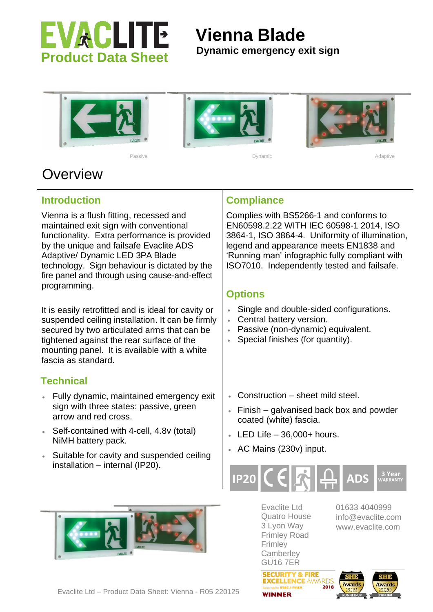

# **Vienna Blade**

### **Dynamic emergency exit sign**





Passive and the property of the Dynamic Community of the Adaptive Adaptive Adaptive





## **Overview**

**Introduction**

Vienna is a flush fitting, recessed and maintained exit sign with conventional functionality. Extra performance is provided by the unique and failsafe Evaclite ADS Adaptive/ Dynamic LED 3PA Blade technology. Sign behaviour is dictated by the fire panel and through using cause-and-effect programming.

It is easily retrofitted and is ideal for cavity or suspended ceiling installation. It can be firmly secured by two articulated arms that can be tightened against the rear surface of the mounting panel. It is available with a white fascia as standard.

#### **Technical**

- Fully dynamic, maintained emergency exit sign with three states: passive, green arrow and red cross.
- Self-contained with 4-cell, 4.8v (total) NiMH battery pack.
- Suitable for cavity and suspended ceiling installation – internal (IP20).



#### **Compliance**

Complies with BS5266-1 and conforms to EN60598.2.22 WITH IEC 60598-1 2014, ISO 3864-1, ISO 3864-4. Uniformity of illumination, legend and appearance meets EN1838 and 'Running man' infographic fully compliant with ISO7010. Independently tested and failsafe.

#### **Options**

- Single and double-sided configurations.
- Central battery version.
- Passive (non-dynamic) equivalent.
- Special finishes (for quantity).
- Construction sheet mild steel.
- Finish galvanised back box and powder coated (white) fascia.
- $\cdot$  LED Life  $-36,000+$  hours.
- AC Mains (230v) input.



Evaclite Ltd Quatro House 3 Lyon Way Frimley Road Frimley **Camberley** GU16 7ER

**SECURITY & FIRE** 

**WINNFR** 

01633 4040999 info@evaclite.com www.evaclite.com